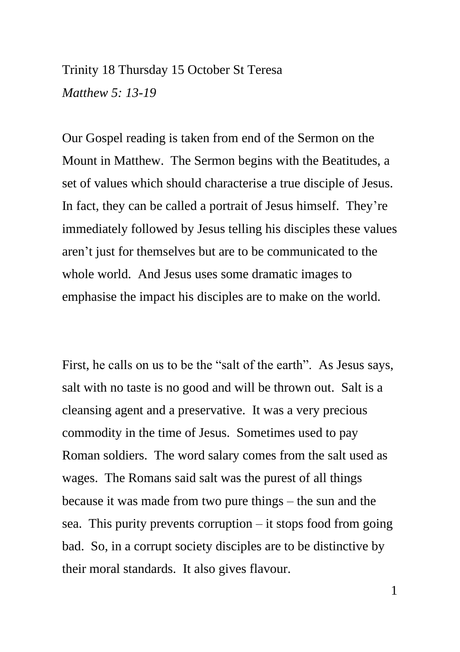## Trinity 18 Thursday 15 October St Teresa *Matthew 5: 13-19*

Our Gospel reading is taken from end of the Sermon on the Mount in Matthew. The Sermon begins with the Beatitudes, a set of values which should characterise a true disciple of Jesus. In fact, they can be called a portrait of Jesus himself. They're immediately followed by Jesus telling his disciples these values aren't just for themselves but are to be communicated to the whole world. And Jesus uses some dramatic images to emphasise the impact his disciples are to make on the world.

First, he calls on us to be the "salt of the earth". As Jesus says, salt with no taste is no good and will be thrown out. Salt is a cleansing agent and a preservative. It was a very precious commodity in the time of Jesus. Sometimes used to pay Roman soldiers. The word salary comes from the salt used as wages. The Romans said salt was the purest of all things because it was made from two pure things – the sun and the sea. This purity prevents corruption – it stops food from going bad. So, in a corrupt society disciples are to be distinctive by their moral standards. It also gives flavour.

1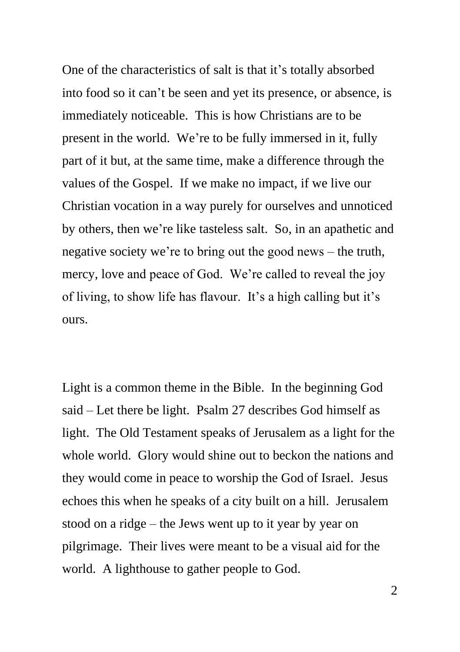One of the characteristics of salt is that it's totally absorbed into food so it can't be seen and yet its presence, or absence, is immediately noticeable. This is how Christians are to be present in the world. We're to be fully immersed in it, fully part of it but, at the same time, make a difference through the values of the Gospel. If we make no impact, if we live our Christian vocation in a way purely for ourselves and unnoticed by others, then we're like tasteless salt. So, in an apathetic and negative society we're to bring out the good news – the truth, mercy, love and peace of God. We're called to reveal the joy of living, to show life has flavour. It's a high calling but it's ours.

Light is a common theme in the Bible. In the beginning God said – Let there be light. Psalm 27 describes God himself as light. The Old Testament speaks of Jerusalem as a light for the whole world. Glory would shine out to beckon the nations and they would come in peace to worship the God of Israel. Jesus echoes this when he speaks of a city built on a hill. Jerusalem stood on a ridge – the Jews went up to it year by year on pilgrimage. Their lives were meant to be a visual aid for the world. A lighthouse to gather people to God.

 $\mathfrak{D}$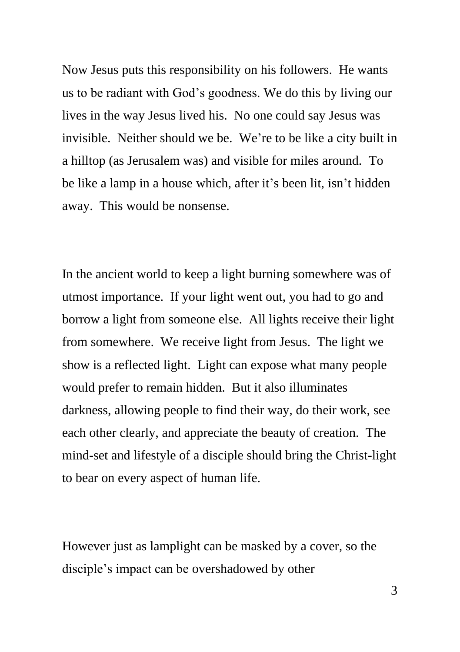Now Jesus puts this responsibility on his followers. He wants us to be radiant with God's goodness. We do this by living our lives in the way Jesus lived his. No one could say Jesus was invisible. Neither should we be. We're to be like a city built in a hilltop (as Jerusalem was) and visible for miles around. To be like a lamp in a house which, after it's been lit, isn't hidden away. This would be nonsense.

In the ancient world to keep a light burning somewhere was of utmost importance. If your light went out, you had to go and borrow a light from someone else. All lights receive their light from somewhere. We receive light from Jesus. The light we show is a reflected light. Light can expose what many people would prefer to remain hidden. But it also illuminates darkness, allowing people to find their way, do their work, see each other clearly, and appreciate the beauty of creation. The mind-set and lifestyle of a disciple should bring the Christ-light to bear on every aspect of human life.

However just as lamplight can be masked by a cover, so the disciple's impact can be overshadowed by other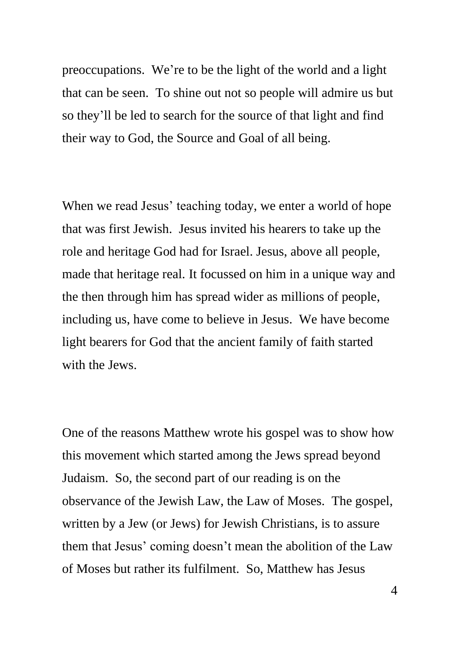preoccupations. We're to be the light of the world and a light that can be seen. To shine out not so people will admire us but so they'll be led to search for the source of that light and find their way to God, the Source and Goal of all being.

When we read Jesus' teaching today, we enter a world of hope that was first Jewish. Jesus invited his hearers to take up the role and heritage God had for Israel. Jesus, above all people, made that heritage real. It focussed on him in a unique way and the then through him has spread wider as millions of people, including us, have come to believe in Jesus. We have become light bearers for God that the ancient family of faith started with the Jews.

One of the reasons Matthew wrote his gospel was to show how this movement which started among the Jews spread beyond Judaism. So, the second part of our reading is on the observance of the Jewish Law, the Law of Moses. The gospel, written by a Jew (or Jews) for Jewish Christians, is to assure them that Jesus' coming doesn't mean the abolition of the Law of Moses but rather its fulfilment. So, Matthew has Jesus

4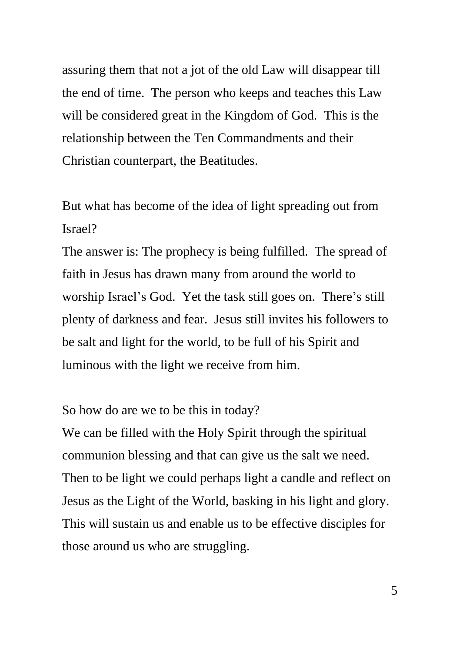assuring them that not a jot of the old Law will disappear till the end of time. The person who keeps and teaches this Law will be considered great in the Kingdom of God. This is the relationship between the Ten Commandments and their Christian counterpart, the Beatitudes.

But what has become of the idea of light spreading out from Israel?

The answer is: The prophecy is being fulfilled. The spread of faith in Jesus has drawn many from around the world to worship Israel's God. Yet the task still goes on. There's still plenty of darkness and fear. Jesus still invites his followers to be salt and light for the world, to be full of his Spirit and luminous with the light we receive from him.

So how do are we to be this in today?

We can be filled with the Holy Spirit through the spiritual communion blessing and that can give us the salt we need. Then to be light we could perhaps light a candle and reflect on Jesus as the Light of the World, basking in his light and glory. This will sustain us and enable us to be effective disciples for those around us who are struggling.